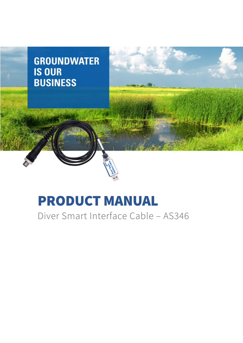

# PRODUCT MANUAL

Diver Smart Interface Cable – AS346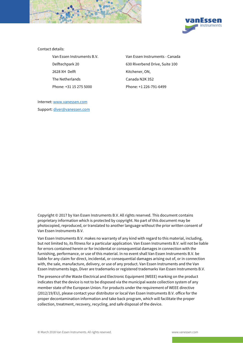



Contact details:

2628 XH Delft Kitchener, ON, The Netherlands Canada N2K 3S2 Phone: +31 15 275 5000 Phone: +1 226-791-6499

Van Essen Instruments B.V. Van Essen Instruments - Canada Delftechpark 20 630 Riverbend Drive, Suite 100

Internet: www.vanessen.com Support: diver@vanessen.com

Copyright © 2017 by Van Essen Instruments B.V. All rights reserved. This document contains proprietary information which is protected by copyright. No part of this document may be photocopied, reproduced, or translated to another language without the prior written consent of Van Essen Instruments B.V.

Van Essen Instruments B.V. makes no warranty of any kind with regard to this material, including, but not limited to, its fitness for a particular application. Van Essen Instruments B.V. will not be liable for errors contained herein or for incidental or consequential damages in connection with the furnishing, performance, or use of this material. In no event shall Van Essen Instruments B.V. be liable for any claim for direct, incidental, or consequential damages arising out of, or in connection with, the sale, manufacture, delivery, or use of any product. Van Essen Instruments and the Van Essen Instruments logo, Diver are trademarks or registered trademarks Van Essen Instruments B.V.

The presence of the Waste Electrical and Electronic Equipment (WEEE) marking on the product indicates that the device is not to be disposed via the municipal waste collection system of any member state of the European Union. For products under the requirement of WEEE directive (2012/19/EU), please contact your distributor or local Van Essen Instruments B.V. office for the proper decontamination information and take back program, which will facilitate the proper collection, treatment, recovery, recycling, and safe disposal of the device.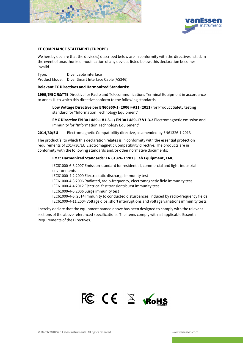



#### **CE COMPLIANCE STATEMENT (EUROPE)**

We hereby declare that the device(s) described below are in conformity with the directives listed. In the event of unauthorized modification of any devices listed below, this declaration becomes invalid.

Type: Diver cable interface Product Model: Diver Smart Interface Cable (AS346)

#### **Relevant EC Directives and Harmonized Standards:**

**1999/5/EC R&TTE** Directive for Radio and Telecommunications Terminal Equipment in accordance to annex III to which this directive conform to the following standards:

**Low Voltage Directive per EN60950-1 (2006)+A11 (2011)** for Product Safety testing standard for "Information Technology Equipment"

**EMC Directive EN 301 489-1 V1.8.1 / EN 301 489-17 V1.3.2** Electromagnetic emission and immunity for "Information Technology Equipment"

**2014/30/EU** Electromagnetic Compatibility directive, as amended by EN61326-1:2013

The product(s) to which this declaration relates is in conformity with the essential protection requirements of 2014/30/EU Electromagnetic Compatibility directive. The products are in conformity with the following standards and/or other normative documents:

#### **EMC: Harmonized Standards: EN 61326-1:2013 Lab Equipment, EMC**

IEC61000-6-3:2007 Emission standard for residential, commercial and light-industrial environments

IEC61000-4-2:2009 Electrostatic discharge immunity test

IEC61000-4-3:2006 Radiated, radio-frequency, electromagnetic field immunity test IEC61000-4-4:2012 Electrical fast transient/burst immunity test IEC61000-4-5:2006 Surge immunity test

IEC61000-4-6: 2014 Immunity to conducted disturbances, induced by radio-frequency fields IEC61000-4-11:2004 Voltage dips, short interruptions and voltage variations immunity tests

I hereby declare that the equipment named above has been designed to comply with the relevant sections of the above referenced specifications. The items comply with all applicable Essential Requirements of the Directives.

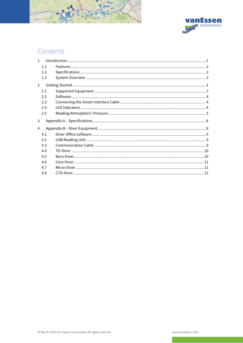

# Contents

| $\mathbf{1}$   |     |  |  |
|----------------|-----|--|--|
|                | 1.1 |  |  |
|                | 1.2 |  |  |
|                | 1.3 |  |  |
| $\overline{2}$ |     |  |  |
|                | 2.1 |  |  |
|                | 2.2 |  |  |
|                | 2.3 |  |  |
|                | 2.4 |  |  |
|                | 2.5 |  |  |
| 3              |     |  |  |
| 4              |     |  |  |
|                | 4.1 |  |  |
|                | 4.2 |  |  |
|                | 4.3 |  |  |
|                | 4.4 |  |  |
|                | 4.5 |  |  |
|                | 4.6 |  |  |
|                | 4.7 |  |  |
|                | 4.8 |  |  |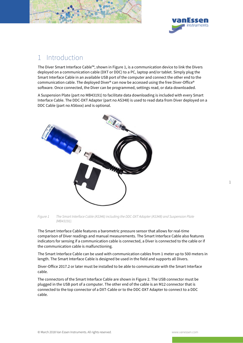



# 1 Introduction

The Diver Smart Interface Cable™, shown in Figure 1, is a communication device to link the Divers deployed on a communication cable (DXT or DDC) to a PC, laptop and/or tablet. Simply plug the Smart Interface Cable in an available USB port of the computer and connect the other end to the communication cable. The deployed Diver® can now be accessed using the free Diver-Office® software. Once connected, the Diver can be programmed, settings read, or data downloaded.

A Suspension Plate (part no MB43191) to facilitate data downloading is included with every Smart Interface Cable. The DDC-DXT Adapter (part no AS348) is used to read data from Diver deployed on a DDC Cable (part no AS6xxx) and is optional.



Figure 1 The Smart Interface Cable (AS346) including the DDC-DXT Adapter (AS348) and Suspension Plate (MB43191).

The Smart Interface Cable features a barometric pressure sensor that allows for real-time comparison of Diver readings and manual measurements. The Smart Interface Cable also features indicators for sensing if a communication cable is connected, a Diver is connected to the cable or if the communication cable is malfunctioning.

The Smart Interface Cable can be used with communication cables from 1 meter up to 500 meters in length. The Smart Interface Cable is designed be used in the field and supports all Divers.

Diver-Office 2017.2 or later must be installed to be able to communicate with the Smart Interface cable.

The connectors of the Smart Interface Cable are shown in Figure 2. The USB connector must be plugged in the USB port of a computer. The other end of the cable is an M12 connector that is connected to the top connector of a DXT-Cable or to the DDC-DXT Adapter to connect to a DDC cable.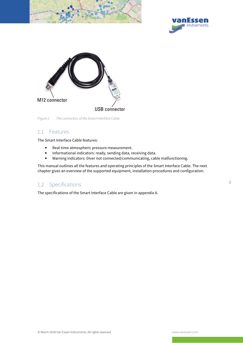





Figure 2 The connectors of the Smart Interface Cable.

### 1.1 Features

The Smart Interface Cable features:

- Real-time atmospheric pressure measurement.
- Informational indicators: ready, sending data, receiving data.
- Warning indicators: Diver not connected/communicating, cable malfunctioning.

This manual outlines all the features and operating principles of the Smart Interface Cable. The next chapter gives an overview of the supported equipment, installation procedures and configuration.

### 1.2 Specifications

The specifications of the Smart Interface Cable are given in appendix A.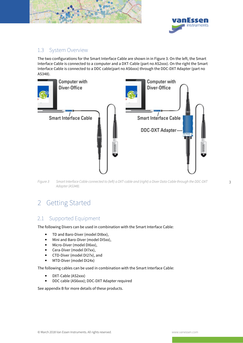



# 1.3 System Overview

The two configurations for the Smart Interface Cable are shown in in Figure 3. On the left, the Smart Interface Cable is connected to a computer and a DXT-Cable (part no AS2xxx). On the right the Smart Interface Cable is connected to a DDC cable(part no AS6xxx) through the DDC-DXT Adapter (part no AS348).



Figure 3 Smart Interface Cable connected to (left) a DXT-cable and (right) a Diver Data Cable through the DDC-DXT Adapter (AS348).

# 2 Getting Started

# 2.1 Supported Equipment

The following Divers can be used in combination with the Smart Interface Cable:

- TD and Baro-Diver (model DI8xx),
- Mini and Baro-Diver (model DI5xx),
- Micro-Diver (model DI6xx),
- Cera-Diver (model DI7xx),
- CTD-Diver (model DI27x), and
- MTD-Diver (model DI24x)

The following cables can be used in combination with the Smart Interface Cable:

- DXT-Cable (AS2xxx)
- DDC cable (AS6xxx); DDC-DXT Adapter required

See appendix B for more details of these products.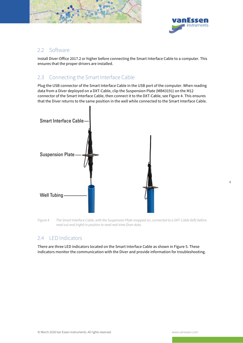



## 2.2 Software

Install Diver-Office 2017.2 or higher before connecting the Smart Interface Cable to a computer. This ensures that the proper drivers are installed.

# 2.3 Connecting the Smart Interface Cable

Plug the USB connector of the Smart Interface Cable in the USB port of the computer. When reading data from a Diver deployed on a DXT-Cable, clip the Suspension Plate (MB43191) on the M12 connector of the Smart Interface Cable, then connect it to the DXT-Cable, see Figure 4. This ensures that the Diver returns to the same position in the well while connected to the Smart Interface Cable.



Figure 4 The Smart Interface Cable, with the Suspension Plate snapped on, connected to a DXT-Cable (left) before read out and (right) in position to read real-time Diver data.

# 2.4 LED Indicators

There are three LED indicators located on the Smart Interface Cable as shown in Figure 5. These indicators monitor the communication with the Diver and provide information for troubleshooting.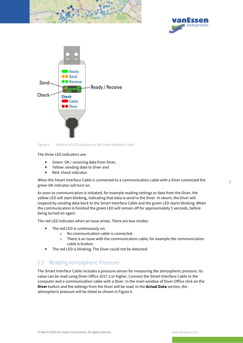





Figure 5 Position of LED indicators of the Smart Interface Cable.

The three LED indicators are:

- Green: OK / receiving data from Diver,
- Yellow: sending data to Diver and
- Red: check indicator.

When the Smart Interface Cable is connected to a communication cable with a Diver connected the green OK indicator will turn on.

As soon as communication is initiated, for example reading settings or data from the Diver, the yellow LED will start blinking, indicating that data is send to the Diver. In return, the Diver will respond by sending data back to the Smart Interface Cable and the green LED starts blinking. When the communication is finished the green LED will remain off for approximately 5 seconds, before being turned on again.

The red LED indicates when an issue arises. There are two modes:

- The red LED is continuously on:
	- o No communication cable is connected.
	- o There is an issue with the communication cable, for example the communication cable is broken.
- The red LED is blinking: The Diver could not be detected.

# 2.5 Reading Atmospheric Pressure

The Smart Interface Cable includes a pressure sensor for measuring the atmospheric pressure. Its value can be read using Diver-Office 2017.2 or higher. Connect the Smart Interface Cable to the computer and a communication cable with a Diver. In the main window of Diver-Office click on the **Diver** button and the settings from the Diver will be read. In the **Actual Data** section, the atmospheric pressure will be listed as shown in Figure 6.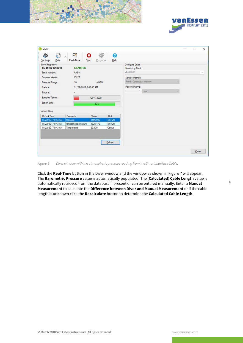



| Diver                                       |                      |                           |                  |                                      | $\Box$ | $\times$ |
|---------------------------------------------|----------------------|---------------------------|------------------|--------------------------------------|--------|----------|
| G<br>ंदे<br>Data<br>Settings                | V<br>÷.<br>Real-Time | 瑹<br>ο<br>Stop<br>Program | ❸<br>Help        |                                      |        |          |
| <b>Diver Properties</b><br>TD-Diver (DI801) | <b>STARTED</b>       |                           |                  | Configure Diver<br>Monitoring Point: |        |          |
| Serial Number:                              | AA314                |                           |                  | dl-w01-02                            |        | v        |
| Firmware Version:<br>V1.22                  |                      |                           | Sample Method:   |                                      |        |          |
| Pressure Range:                             | 10                   | mH2O                      |                  | Fixed - Continuous memory            |        |          |
| Starts at:<br>11/22/2017 9:43:40 AM         |                      |                           | Record Interval: |                                      |        |          |
| Stops at:                                   |                      | 1 Hour                    |                  |                                      |        |          |
|                                             |                      |                           |                  |                                      |        |          |
| Samples Taken:                              |                      | 720 / 72000               |                  |                                      |        |          |
| Battery Left:                               |                      | 90%                       |                  |                                      |        |          |
| Actual Data                                 |                      |                           |                  |                                      |        |          |
| Date & Time                                 | Parameter            | Value                     | Unit             |                                      |        |          |
| 11/22/2017 9:43 AM                          | Pressure             | 1596.900                  | cmH2O            |                                      |        |          |
| 11/22/2017 9:43 AM                          | Atmospheric pressure | 1025.470                  | cmH2O            |                                      |        |          |
| 11/22/2017 9:43 AM                          | Temperature          | 23.130                    | Celsius          |                                      |        |          |
|                                             |                      |                           |                  |                                      |        |          |
|                                             |                      |                           | Refresh          |                                      |        |          |
|                                             |                      |                           |                  |                                      |        |          |
|                                             |                      |                           |                  |                                      |        |          |
|                                             |                      |                           |                  |                                      | Close  |          |

Figure 6 Diver window with the atmospheric pressure reading from the Smart Interface Cable.

Click the **Real-Time** button in the Diver window and the window as shown in Figure 7 will appear. The **Barometric Pressure** value is automatically populated. The (**Calculated**) **Cable Length** value is automatically retrieved from the database if present or can be entered manually. Enter a **Manual Measurement** to calculate the **Difference between Diver and Manual Measurement** or if the cable length is unknown click the **Recalculate** button to determine the **Calculated Cable Length**.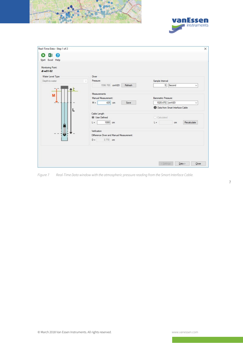



| $x \equiv 2$<br>D<br>Start Excel Help<br>Monitoring Point:<br>$d-w01-02$ |                                          |                                          |
|--------------------------------------------------------------------------|------------------------------------------|------------------------------------------|
| Water Level Type                                                         | Diver                                    |                                          |
| Depth-to-water                                                           | Pressure:                                | Sample Interval:                         |
|                                                                          | 1596.700 cmH2O<br>Refresh                | 5 Second<br>$\checkmark$                 |
| M                                                                        | Measurements                             |                                          |
|                                                                          | Manual Measurement:                      | Barometric Pressure:                     |
|                                                                          | 425 cm<br>$M =$<br>Save                  | 1025.470 cmH2O<br>$\checkmark$           |
|                                                                          |                                          | <b>D</b> Data from Smart Interface Cable |
|                                                                          | Cable Length                             |                                          |
|                                                                          | <b>O</b> User Defined                    | C Calculated                             |
| Ω                                                                        | 1000 cm<br>$L =$                         | $L =$<br>Recalculate<br>cm               |
|                                                                          |                                          |                                          |
|                                                                          | Verfication                              |                                          |
| u                                                                        | Difference Diver and Manual Measurement: |                                          |
|                                                                          | $D = 3.770$ cm                           |                                          |
|                                                                          |                                          |                                          |
|                                                                          |                                          |                                          |
|                                                                          |                                          |                                          |
|                                                                          |                                          |                                          |
|                                                                          |                                          | < Settings<br>Data ><br>Qose             |

Figure 7 Real-Time Data window with the atmospheric pressure reading from the Smart Interface Cable.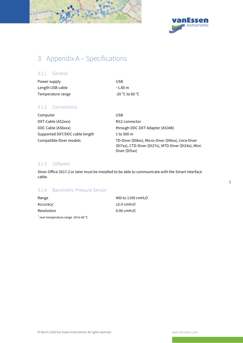



# 3 Appendix A – Specifications

#### 3.1.1 General

| Power supply      | USB                              |
|-------------------|----------------------------------|
| Length USB cable  | $\sim$ 1.80 m                    |
| Temperature range | $-20\degree$ C to 60 $\degree$ C |

### 3.1.2 Connections

| Computer                       | <b>USB</b>                                                                                                                 |
|--------------------------------|----------------------------------------------------------------------------------------------------------------------------|
| DXT-Cable (AS2xxx)             | M12 connector                                                                                                              |
| DDC Cable (AS6xxx)             | through DDC-DXT Adapter (AS348)                                                                                            |
| Supported DXT/DDC cable length | 1 to 500 m                                                                                                                 |
| Compatible Diver models        | TD-Diver (DI8xx), Micro-Diver (DI6xx), Cera-Diver<br>(DI7xx), CTD-Diver (DI27x), MTD-Diver (DI24x), Mini-<br>Diver (DI5xx) |

#### 3.1.3 Software

Diver-Office 2017.2 or later must be installed to be able to communicate with the Smart Interface cable.

## 3.1.4 Barometric Pressure Sensor

| Range                                 | 400 to 1100 cmH <sub>2</sub> O |
|---------------------------------------|--------------------------------|
| Accuracy <sup>+</sup>                 | $\pm 2.0$ cmH <sub>2</sub> O   |
| <b>Resolution</b>                     | $0.06$ cmH <sub>2</sub> O      |
| * over temperature range -20 to 60 °C |                                |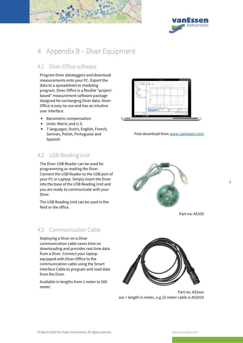



# 4 Appendix B – Diver Equipment

# 4.1 Diver-Office software

Program Diver dataloggers and download measurements onto your PC. Export the data to a spreadsheet or modeling program. Diver-Office is a flexible "projectbased" measurement software package designed for exchanging Diver data. Diver-Office is easy-to-use and has an intuitive user interface.

- Barometric compensation
- Units: Metric and U.S.
- 7 languages: Dutch, English, French, German, Polish, Portuguese and Spanish

# 4.2 USB Reading Unit

The Diver USB Reader can be used for programming or reading the Diver. Connect the USB Reader to the USB port of your PC or Laptop. Simply insert the Diver into the base of the USB Reading Unit and you are ready to communicate with your Diver.

The USB Reading Unit can be used in the field or the office.

# 4.3 Communication Cable

Deploying a Diver on a Diver communication cable saves time on downloading and provides real time data from a Diver. Connect your laptop equipped with Diver-Office to the communication cable using the Smart Interface Cable to program and read data from the Diver.

Available in lengths from 1 meter to 500 meter.



Free download from www.vanessen.com



Part no: AS330



Part no: AS2xxx xxx = length in meter, e.g 10 meter cable is AS2010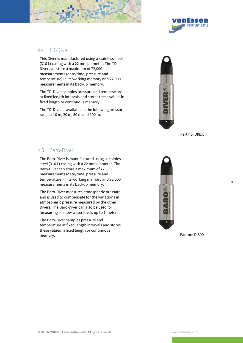



### 4.4 TD-Diver

This Diver is manufactured using a stainless steel (316 L) casing with a 22 mm diameter. The TD-Diver can store a maximum of 72,000 measurements (date/time, pressure and temperature) in its working memory and 72,000 measurements in its backup memory.

The TD-Diver samples pressure and temperature at fixed length intervals and stores these values in fixed length or continuous memory.

The TD-Diver is available in the following pressure ranges: 10 m, 20 m, 50 m and 100 m.



Part no: DI8xx

# 4.5 Baro-Diver

The Baro-Diver is manufactured using a stainless steel (316 L) casing with a 22 mm diameter. The Baro-Diver can store a maximum of 72,000 measurements (date/time, pressure and temperature) in its working memory and 72,000 measurements in its backup memory.

The Baro-Diver measures atmospheric pressure and is used to compensate for the variations in atmospheric pressure measured by the other Divers. The Baro-Diver can also be used for measuring shallow water levels up to 1 meter.

The Baro-Diver samples pressure and temperature at fixed length intervals and stores these values in fixed length or continuous memory. Part no: DI800

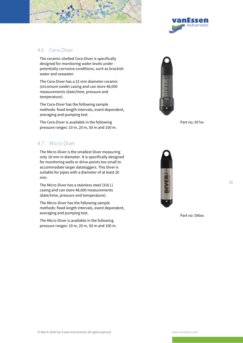



### 4.6 Cera-Diver

The ceramic-shelled Cera-Diver is specifically designed for monitoring water levels under potentially corrosive conditions, such as brackish water and seawater.

The Cera-Diver has a 22 mm diameter ceramic (zirconium-oxide) casing and can store 48,000 measurements (date/time, pressure and temperature).

The Cera-Diver has the following sample methods: fixed length intervals, event dependent, averaging and pumping test.

The Cera-Diver is available in the following pressure ranges: 10 m, 20 m, 50 m and 100 m.

# 4.7 Micro-Diver

The Micro-Diver is the smallest Diver measuring only 18 mm in diameter. It is specifically designed for monitoring wells or drive-points too small to accommodate larger dataloggers. This Diver is suitable for pipes with a diameter of at least 20 mm.

The Micro-Diver has a stainless steel (316 L) casing and can store 48,000 measurements (date/time, pressure and temperature).

The Micro-Diver has the following sample methods: fixed length intervals, event dependent, averaging and pumping test.

The Micro-Diver is available in the following pressure ranges: 10 m, 20 m, 50 m and 100 m.



Part no: DI7xx



Part no: DI6xx